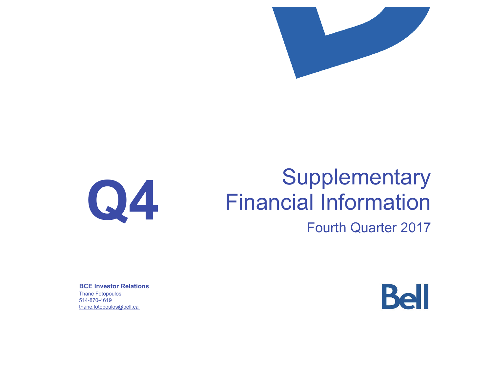



# **Supplementary** Financial Information

# Fourth Quarter 2017

**BCE Investor Relations** Thane Fotopoulos 514-870-4619 thane.fotopoulos@bell.ca

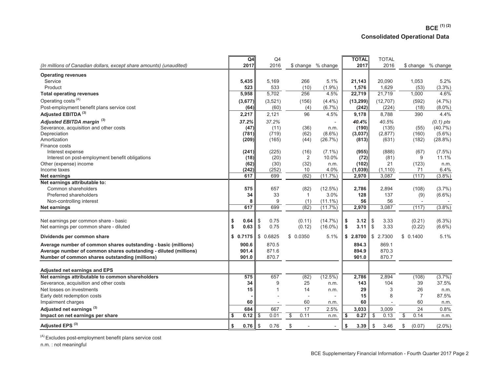# **BCE (1) (2) Consolidated Operational Data**

| (In millions of Canadian dollars, except share amounts) (unaudited) | Q4<br>2017 |          | Q4<br>2016     |                     | \$ change % change       | <b>TOTAL</b><br>2017 | <b>TOTAL</b><br>2016 |                       | \$ change % change |
|---------------------------------------------------------------------|------------|----------|----------------|---------------------|--------------------------|----------------------|----------------------|-----------------------|--------------------|
| <b>Operating revenues</b>                                           |            |          |                |                     |                          |                      |                      |                       |                    |
| Service                                                             | 5,435      |          | 5,169          | 266                 | 5.1%                     | 21.143               | 20,090               | 1,053                 | 5.2%               |
| Product                                                             | 523        |          | 533            | (10)                | $(1.9\%)$                | 1,576                | 1,629                | (53)                  | $(3.3\%)$          |
| <b>Total operating revenues</b>                                     | 5,958      |          | 5,702          | 256                 | 4.5%                     | 22,719               | 21,719               | 1,000                 | 4.6%               |
| Operating costs <sup>(A)</sup>                                      | (3,677)    |          | (3,521)        | (156)               | (4.4%)                   | (13, 299)            | (12, 707)            | (592)                 | (4.7%)             |
| Post-employment benefit plans service cost                          | (64)       |          | (60)           | (4)                 | $(6.7\%)$                | (242)                | (224)                | (18)                  | $(8.0\%)$          |
| Adjusted EBITDA <sup>(3)</sup>                                      | 2,217      |          | 2,121          | 96                  | 4.5%                     | 9,178                | 8,788                | 390                   | 4.4%               |
| Adjusted EBITDA margin <sup>(3)</sup>                               | 37.2%      |          | 37.2%          |                     |                          | 40.4%                | 40.5%                |                       | $(0.1)$ pts        |
| Severance, acquisition and other costs                              | (47)       |          | (11)           | (36)                | n.m.                     | (190)                | (135)                | (55)                  | $(40.7\%)$         |
| Depreciation                                                        | (781)      |          | (719)          | (62)                | $(8.6\%)$                | (3,037)              | (2,877)              | (160)                 | $(5.6\%)$          |
| Amortization                                                        | (209)      |          | (165)          | (44)                | (26.7%)                  | (813)                | (631)                | (182)                 | $(28.8\%)$         |
| Finance costs                                                       |            |          |                |                     |                          |                      |                      |                       |                    |
| Interest expense                                                    | (241)      |          | (225)          | (16)                | $(7.1\%)$                | (955)                | (888)                | (67)                  | $(7.5\%)$          |
| Interest on post-employment benefit obligations                     | (18)       |          | (20)           | 2                   | 10.0%                    | (72)                 | (81)                 | 9                     | 11.1%              |
| Other (expense) income                                              | (62)       |          | (30)           | (32)                | n.m.                     | (102)                | 21                   | (123)                 | n.m.               |
| Income taxes                                                        | (242)      |          | (252)          | 10                  | 4.0%                     | (1,039)              | (1, 110)             | 71                    | 6.4%               |
| Net earnings                                                        | 617        |          | 699            | (82)                | $(11.7\%)$               | 2,970                | 3,087                | (117)                 | (3.8%)             |
| Net earnings attributable to:                                       |            |          |                |                     |                          |                      |                      |                       |                    |
| Common shareholders                                                 | 575        |          | 657            | (82)                | $(12.5\%)$               | 2,786                | 2,894                | (108)                 | (3.7%)             |
| Preferred shareholders                                              | 34<br>8    |          | 33<br>9        | $\mathbf{1}$<br>(1) | 3.0%<br>$(11.1\%)$       | 128<br>56            | 137<br>56            | (9)<br>$\overline{a}$ | $(6.6\%)$          |
| Non-controlling interest<br>Net earnings                            | 617        |          | 699            | (82)                | (11.7%)                  | 2,970                | 3,087                | (117)                 | (3.8%)             |
|                                                                     |            |          |                |                     |                          |                      |                      |                       |                    |
| Net earnings per common share - basic                               | \$<br>0.64 | \$       | 0.75           | (0.11)              | $(14.7\%)$               | \$<br>3.12           | 3.33<br>\$           | (0.21)                | $(6.3\%)$          |
| Net earnings per common share - diluted                             | \$<br>0.63 | \$       | 0.75           | (0.12)              | $(16.0\%)$               | \$<br>3.11           | 3.33<br>- \$         | (0.22)                | $(6.6\%)$          |
| Dividends per common share                                          | \$0.7175   | \$0.6825 |                | \$0.0350            | 5.1%                     | \$<br>2.8700         | \$<br>2.7300         | \$0.1400              | 5.1%               |
| Average number of common shares outstanding - basic (millions)      | 900.6      |          | 870.5          |                     |                          | 894.3                | 869.1                |                       |                    |
| Average number of common shares outstanding - diluted (millions)    | 901.4      |          | 871.6          |                     |                          | 894.9                | 870.3                |                       |                    |
| Number of common shares outstanding (millions)                      | 901.0      |          | 870.7          |                     |                          | 901.0                | 870.7                |                       |                    |
|                                                                     |            |          |                |                     |                          |                      |                      |                       |                    |
| Adjusted net earnings and EPS                                       |            |          |                |                     |                          |                      |                      |                       |                    |
| Net earnings attributable to common shareholders                    | 575        |          | 657            | (82)                | (12.5%)                  | 2,786                | 2,894                | (108)                 | (3.7%)             |
| Severance, acquisition and other costs                              | 34         |          | 9              | 25                  | n.m.                     | 143                  | 104                  | 39                    | 37.5%              |
| Net losses on investments                                           | 15         |          | $\overline{1}$ | 14                  | n.m.                     | 29                   | 3                    | 26                    | n.m.               |
| Early debt redemption costs                                         |            |          |                | $\overline{a}$      | $\overline{\phantom{a}}$ | 15                   | 8                    | $\overline{7}$        | 87.5%              |
| Impairment charges                                                  | 60         |          | $\overline{a}$ | 60                  | n.m.                     | 60                   |                      | 60                    | n.m.               |
| Adjusted net earnings <sup>(3)</sup>                                | 684        |          | 667            | 17                  | 2.5%                     | 3,033                | 3,009                | 24                    | 0.8%               |
| Impact on net earnings per share                                    | 0.12<br>\$ | \$       | 0.01           | \$<br>0.11          | n.m.                     | \$<br>0.27           | \$<br>0.13           | \$<br>0.14            | n.m.               |
| Adjusted EPS <sup>(3)</sup>                                         | \$<br>0.76 | \$       | 0.76           | \$                  | $\overline{\phantom{a}}$ | \$<br>3.39           | \$<br>3.46           | \$<br>(0.07)          | $(2.0\%)$          |

 $(A)$  Excludes post-employment benefit plans service cost

n.m. : not meaningful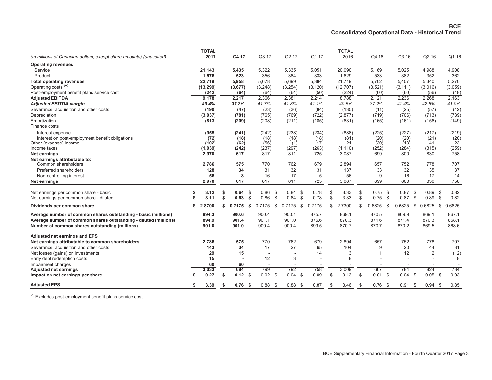|                                                                     | <b>TOTAL</b> |    |              |              |              |      |          |    | <b>TOTAL</b> |                 |     |           |              |                |              |
|---------------------------------------------------------------------|--------------|----|--------------|--------------|--------------|------|----------|----|--------------|-----------------|-----|-----------|--------------|----------------|--------------|
| (In millions of Canadian dollars, except share amounts) (unaudited) | 2017         |    | Q4 17        | Q3 17        | Q2 17        |      | Q1 17    |    | 2016         | Q4 16           |     | Q3 16     |              | Q2 16          | Q1 16        |
| <b>Operating revenues</b>                                           |              |    |              |              |              |      |          |    |              |                 |     |           |              |                |              |
| Service                                                             | 21,143       |    | 5,435        | 5,322        | 5,335        |      | 5,051    |    | 20,090       | 5,169           |     | 5,025     |              | 4,988          | 4,908        |
| Product                                                             | 1,576        |    | 523          | 356          | 364          |      | 333      |    | 1,629        | 533             |     | 382       |              | 352            | 362          |
| <b>Total operating revenues</b>                                     | 22,719       |    | 5,958        | 5,678        | 5,699        |      | 5,384    |    | 21,719       | 5,702           |     | 5,407     |              | 5,340          | 5,270        |
| Operating costs <sup>(A)</sup>                                      | (13, 299)    |    | (3,677)      | (3,248)      | (3,254)      |      | (3, 120) |    | (12, 707)    | (3,521)         |     | (3, 111)  |              | (3,016)        | (3,059)      |
| Post-employment benefit plans service cost                          | (242)        |    | (64)         | (64)         | (64)         |      | (50)     |    | (224)        | (60)            |     | (60)      |              | (56)           | (48)         |
| <b>Adjusted EBITDA</b>                                              | 9,178        |    | 2,217        | 2,366        | 2,381        |      | 2,214    |    | 8,788        | 2,121           |     | 2,236     |              | 2,268          | 2,163        |
| <b>Adjusted EBITDA margin</b>                                       | 40.4%        |    | 37.2%        | 41.7%        | 41.8%        |      | 41.1%    |    | 40.5%        | 37.2%           |     | 41.4%     |              | 42.5%          | 41.0%        |
| Severance, acquisition and other costs                              | (190)        |    | (47)         | (23)         | (36)         |      | (84)     |    | (135)        | (11)            |     | (25)      |              | (57)           | (42)         |
| Depreciation                                                        | (3,037)      |    | (781)        | (765)        | (769)        |      | (722)    |    | (2,877)      | (719)           |     | (706)     |              | (713)          | (739)        |
| Amortization                                                        | (813)        |    | (209)        | (208)        | (211)        |      | (185)    |    | (631)        | (165)           |     | (161)     |              | (156)          | (149)        |
| Finance costs                                                       |              |    |              |              |              |      |          |    |              |                 |     |           |              |                |              |
| Interest expense                                                    | (955)        |    | (241)        | (242)        | (238)        |      | (234)    |    | (888)        | (225)           |     | (227)     |              | (217)          | (219)        |
| Interest on post-employment benefit obligations                     | (72)         |    | (18)         | (18)         | (18)         |      | (18)     |    | (81)         | (20)            |     | (20)      |              | (21)           | (20)         |
| Other (expense) income                                              | (102)        |    | (62)         | (56)         | (1)          |      | 17       |    | 21           | (30)            |     | (13)      |              | 41             | 23           |
| Income taxes                                                        | (1,039)      |    | (242)        | (237)        | (297)        |      | (263)    |    | (1, 110)     | (252)           |     | (284)     |              | (315)          | (259)        |
| Net earnings                                                        | 2,970        |    | 617          | 817          | 811          |      | 725      |    | 3,087        | 699             |     | 800       |              | 830            | 758          |
| Net earnings attributable to:                                       |              |    |              |              |              |      |          |    |              |                 |     |           |              |                |              |
| Common shareholders                                                 | 2,786        |    | 575          | 770          | 762          |      | 679      |    | 2,894        | 657             |     | 752       |              | 778            | 707          |
| Preferred shareholders                                              | 128          |    | 34           | 31           | 32           |      | 31       |    | 137          | 33              |     | 32        |              | 35             | 37           |
| Non-controlling interest                                            | 56           |    | 8            | 16           | 17           |      | 15       |    | 56           | 9               |     | 16        |              | 17             | 14           |
| Net earnings                                                        | 2,970        |    | 617          | 817          | 811          |      | 725      |    | 3,087        | 699             |     | 800       |              | 830            | 758          |
| Net earnings per common share - basic                               | 3.12         | \$ | 0.64<br>-\$  | 0.86         | 0.84<br>-\$  | \$   | 0.78     | S  | 3.33         | \$<br>0.75      | -\$ | 0.87      | Ŝ.           | 0.89           | 0.82<br>\$   |
| Net earnings per common share - diluted                             | 3.11         | \$ | 0.63<br>\$   | 0.86         | 0.84<br>\$   | \$   | 0.78     | \$ | 3.33         | \$<br>0.75      | \$  | 0.87      | \$           | 0.89           | \$<br>0.82   |
|                                                                     |              |    |              |              |              |      |          |    |              |                 |     |           |              |                |              |
| Dividends per common share                                          | 2.8700       | \$ | 0.7175<br>\$ | 0.7175       | \$<br>0.7175 | \$   | 0.7175   | \$ | 2.7300       | \$<br>0.6825    | -\$ | 0.6825    | 0.6825<br>\$ |                | 0.6825<br>\$ |
| Average number of common shares outstanding - basic (millions)      | 894.3        |    | 900.6        | 900.4        | 900.1        |      | 875.7    |    | 869.1        | 870.5           |     | 869.9     |              | 869.1          | 867.1        |
| Average number of common shares outstanding - diluted (millions)    | 894.9        |    | 901.4        | 901.1        | 901.0        |      | 876.6    |    | 870.3        | 871.6           |     | 871.4     |              | 870.3          | 868.1        |
| Number of common shares outstanding (millions)                      | 901.0        |    | 901.0        | 900.4        | 900.4        |      | 899.5    |    | 870.7        | 870.7           |     | 870.2     |              | 869.5          | 868.6        |
| Adjusted net earnings and EPS                                       |              |    |              |              |              |      |          |    |              |                 |     |           |              |                |              |
| Net earnings attributable to common shareholders                    | 2,786        |    | 575          | 770          | 762          |      | 679      |    | 2,894        | 657             |     | 752       |              | 778            | 707          |
| Severance, acquisition and other costs                              | 143          |    | 34           | 17           | 27           |      | 65       |    | 104          | 9               |     | 20        |              | 44             | 31           |
| Net losses (gains) on investments                                   | 29           |    | 15           |              |              |      | 14       |    | 3            | -1              |     | 12        |              | $\overline{2}$ | (12)         |
| Early debt redemption costs                                         | 15           |    |              | 12           |              | 3    |          |    | 8            |                 |     |           |              |                | 8            |
| Impairment charges                                                  | 60           |    | 60           |              |              |      |          |    |              |                 |     |           |              |                |              |
| <b>Adjusted net earnings</b>                                        | 3,033        |    | 684          | 799          | 792          |      | 758      |    | 3,009        | 667             |     | 784       |              | 824            | 734          |
| Impact on net earnings per share                                    | 0.27         | \$ | 0.12<br>\$   | 0.02         | 0.04<br>-\$  | \$   | 0.09     | \$ | 0.13         | \$<br>0.01      | \$  | 0.04      | \$           | 0.05           | 0.03<br>\$   |
| <b>Adjusted EPS</b>                                                 | 3.39<br>S    | s. | $0.76$ \$    | 0.88<br>- \$ | 0.88         | - \$ | 0.87     | -S | 3.46         | \$<br>$0.76$ \$ |     | $0.91$ \$ |              | $0.94$ \$      | 0.85         |
|                                                                     |              |    |              |              |              |      |          |    |              |                 |     |           |              |                |              |

 $(A)$  Excludes post-employment benefit plans service cost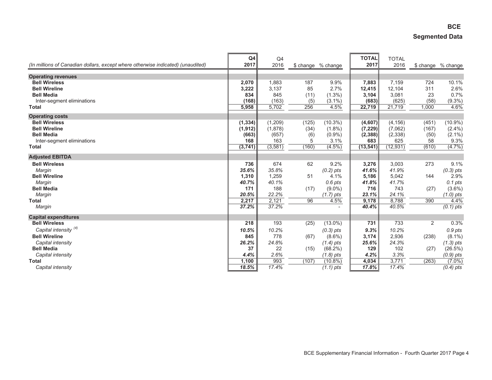# **BCE Segmented Data**

| (In millions of Canadian dollars, except where otherwise indicated) (unaudited) | Q <sub>4</sub><br>2017 | Q4<br>2016 |       | \$ change % change | <b>TOTAL</b><br>2017 | <b>TOTAL</b><br>2016 |       | \$ change % change     |
|---------------------------------------------------------------------------------|------------------------|------------|-------|--------------------|----------------------|----------------------|-------|------------------------|
| <b>Operating revenues</b>                                                       |                        |            |       |                    |                      |                      |       |                        |
| <b>Bell Wireless</b>                                                            | 2,070                  | 1,883      | 187   | 9.9%               | 7,883                | 7,159                | 724   | 10.1%                  |
| <b>Bell Wireline</b>                                                            | 3,222                  | 3,137      | 85    | 2.7%               | 12,415               | 12,104               | 311   | 2.6%                   |
| <b>Bell Media</b>                                                               | 834                    | 845        | (11)  | $(1.3\%)$          | 3,104                | 3,081                | 23    | 0.7%                   |
| Inter-segment eliminations                                                      | (168)                  | (163)      | (5)   | $(3.1\%)$          | (683)                | (625)                | (58)  | $(9.3\%)$              |
| <b>Total</b>                                                                    | 5,958                  | 5,702      | 256   | 4.5%               | 22,719               | 21,719               | 1,000 | 4.6%                   |
| <b>Operating costs</b>                                                          |                        |            |       |                    |                      |                      |       |                        |
| <b>Bell Wireless</b>                                                            | (1, 334)               | (1, 209)   | (125) | $(10.3\%)$         | (4,607)              | (4, 156)             | (451) | $(10.9\%)$             |
| <b>Bell Wireline</b>                                                            | (1, 912)               | (1,878)    | (34)  | $(1.8\%)$          | (7, 229)             | (7,062)              | (167) | $(2.4\%)$              |
| <b>Bell Media</b>                                                               | (663)                  | (657)      | (6)   | $(0.9\%)$          | (2, 388)             | (2, 338)             | (50)  | $(2.1\%)$              |
| Inter-segment eliminations                                                      | 168                    | 163        | 5     | 3.1%               | 683                  | 625                  | 58    | 9.3%                   |
| <b>Total</b>                                                                    | (3,741)                | (3, 581)   | (160) | $(4.5\%)$          | (13, 541)            | (12, 931)            | (610) | (4.7%)                 |
| <b>Adjusted EBITDA</b>                                                          |                        |            |       |                    |                      |                      |       |                        |
| <b>Bell Wireless</b>                                                            | 736                    | 674        | 62    | 9.2%               | 3,276                | 3,003                | 273   | 9.1%                   |
| Margin                                                                          | 35.6%                  | 35.8%      |       | $(0.2)$ pts        | 41.6%                | 41.9%                |       | $(0.3)$ pts            |
| <b>Bell Wireline</b>                                                            | 1,310                  | 1,259      | 51    | 4.1%               | 5,186                | 5,042                | 144   | 2.9%                   |
| Margin                                                                          | 40.7%                  | 40.1%      |       | $0.6$ pts          | 41.8%                | 41.7%                |       | $0.1$ pts              |
| <b>Bell Media</b>                                                               | 171                    | 188        | (17)  | $(9.0\%)$          | 716                  | 743                  | (27)  | $(3.6\%)$              |
| Margin                                                                          | 20.5%                  | 22.2%      |       | $(1.7)$ pts        | 23.1%                | 24.1%                |       | $(1.0)$ pts            |
| <b>Total</b>                                                                    | 2,217                  | 2,121      | 96    | 4.5%               | 9,178                | 8,788                | 390   | 4.4%                   |
| Margin                                                                          | 37.2%                  | 37.2%      |       |                    | 40.4%                | 40.5%                |       | $\overline{(0.1)}$ pts |
| <b>Capital expenditures</b>                                                     |                        |            |       |                    |                      |                      |       |                        |
| <b>Bell Wireless</b>                                                            | 218                    | 193        | (25)  | $(13.0\%)$         | 731                  | 733                  | 2     | 0.3%                   |
| Capital intensity <sup>(4)</sup>                                                | 10.5%                  | 10.2%      |       | $(0.3)$ pts        | 9.3%                 | 10.2%                |       | 0.9 pts                |
| <b>Bell Wireline</b>                                                            | 845                    | 778        | (67)  | $(8.6\%)$          | 3,174                | 2,936                | (238) | $(8.1\%)$              |
| Capital intensity                                                               | 26.2%                  | 24.8%      |       | $(1.4)$ pts        | 25.6%                | 24.3%                |       | $(1.3)$ pts            |
| <b>Bell Media</b>                                                               | 37                     | 22         | (15)  | (68.2%)            | 129                  | 102                  | (27)  | (26.5%)                |
| Capital intensity                                                               | 4.4%                   | 2.6%       |       | $(1.8)$ pts        | 4.2%                 | 3.3%                 |       | $(0.9)$ pts            |
| <b>Total</b>                                                                    | 1,100                  | 993        | (107) | $(10.8\%)$         | 4,034                | 3,771                | (263) | $(7.0\%)$              |
| Capital intensity                                                               | 18.5%                  | 17.4%      |       | $(1.1)$ pts        | 17.8%                | 17.4%                |       | $(0.4)$ pts            |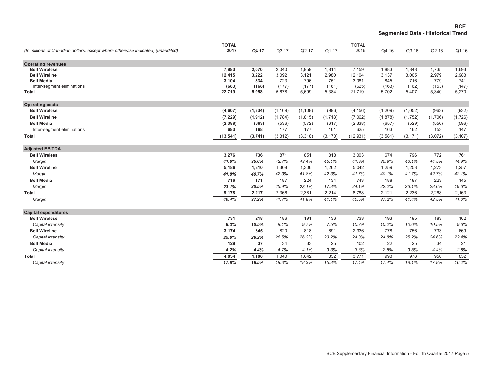**BCE Segmented Data - Historical Trend**

| (In millions of Canadian dollars, except where otherwise indicated) (unaudited) | <b>TOTAL</b><br>2017 | Q4 17    | Q3 17    | Q2 17    | Q1 17    | <b>TOTAL</b><br>2016 | Q4 16    | Q3 16    | Q2 16   |          |
|---------------------------------------------------------------------------------|----------------------|----------|----------|----------|----------|----------------------|----------|----------|---------|----------|
|                                                                                 |                      |          |          |          |          |                      |          |          |         | Q1 16    |
| <b>Operating revenues</b>                                                       |                      |          |          |          |          |                      |          |          |         |          |
| <b>Bell Wireless</b>                                                            | 7,883                | 2,070    | 2,040    | 1,959    | 1,814    | 7,159                | 1,883    | 1.848    | 1,735   | 1,693    |
| <b>Bell Wireline</b>                                                            | 12,415               | 3,222    | 3,092    | 3,121    | 2,980    | 12,104               | 3,137    | 3,005    | 2,979   | 2,983    |
| <b>Bell Media</b>                                                               | 3,104                | 834      | 723      | 796      | 751      | 3,081                | 845      | 716      | 779     | 741      |
| Inter-segment eliminations                                                      | (683)                | (168)    | (177)    | (177)    | (161)    | (625)                | (163)    | (162)    | (153)   | (147)    |
| <b>Total</b>                                                                    | 22,719               | 5,958    | 5,678    | 5,699    | 5,384    | 21,719               | 5,702    | 5,407    | 5,340   | 5,270    |
| <b>Operating costs</b>                                                          |                      |          |          |          |          |                      |          |          |         |          |
| <b>Bell Wireless</b>                                                            | (4,607)              | (1, 334) | (1, 169) | (1, 108) | (996)    | (4, 156)             | (1,209)  | (1,052)  | (963)   | (932)    |
| <b>Bell Wireline</b>                                                            | (7, 229)             | (1, 912) | (1,784)  | (1, 815) | (1,718)  | (7,062)              | (1,878)  | (1,752)  | (1,706) | (1,726)  |
| <b>Bell Media</b>                                                               | (2,388)              | (663)    | (536)    | (572)    | (617)    | (2, 338)             | (657)    | (529)    | (556)   | (596)    |
| Inter-segment eliminations                                                      | 683                  | 168      | 177      | 177      | 161      | 625                  | 163      | 162      | 153     | 147      |
| <b>Total</b>                                                                    | (13, 541)            | (3,741)  | (3, 312) | (3, 318) | (3, 170) | (12, 931)            | (3, 581) | (3, 171) | (3,072) | (3, 107) |
|                                                                                 |                      |          |          |          |          |                      |          |          |         |          |
| <b>Adjusted EBITDA</b>                                                          |                      |          |          |          |          |                      |          |          |         |          |
| <b>Bell Wireless</b>                                                            | 3,276                | 736      | 871      | 851      | 818      | 3,003                | 674      | 796      | 772     | 761      |
| Margin                                                                          | 41.6%                | 35.6%    | 42.7%    | 43.4%    | 45.1%    | 41.9%                | 35.8%    | 43.1%    | 44.5%   | 44.9%    |
| <b>Bell Wireline</b>                                                            | 5,186                | 1,310    | 1,308    | 1,306    | 1,262    | 5,042                | 1,259    | 1,253    | 1,273   | 1,257    |
| Margin                                                                          | 41.8%                | 40.7%    | 42.3%    | 41.8%    | 42.3%    | 41.7%                | 40.1%    | 41.7%    | 42.7%   | 42.1%    |
| <b>Bell Media</b>                                                               | 716                  | 171      | 187      | 224      | 134      | 743                  | 188      | 187      | 223     | 145      |
| Margin                                                                          | 23.1%                | 20.5%    | 25.9%    | 28.1%    | 17.8%    | 24.1%                | 22.2%    | 26.1%    | 28.6%   | 19.6%    |
| <b>Total</b>                                                                    | 9,178                | 2,217    | 2,366    | 2,381    | 2,214    | 8,788                | 2,121    | 2,236    | 2,268   | 2,163    |
| Margin                                                                          | 40.4%                | 37.2%    | 41.7%    | 41.8%    | 41.1%    | 40.5%                | 37.2%    | 41.4%    | 42.5%   | 41.0%    |
| <b>Capital expenditures</b>                                                     |                      |          |          |          |          |                      |          |          |         |          |
| <b>Bell Wireless</b>                                                            | 731                  | 218      | 186      | 191      | 136      | 733                  | 193      | 195      | 183     | 162      |
| Capital intensity                                                               | 9.3%                 | 10.5%    | 9.1%     | 9.7%     | 7.5%     | 10.2%                | 10.2%    | 10.6%    | 10.5%   | 9.6%     |
| <b>Bell Wireline</b>                                                            | 3,174                | 845      | 820      | 818      | 691      | 2,936                | 778      | 756      | 733     | 669      |
| Capital intensity                                                               | 25.6%                | 26.2%    | 26.5%    | 26.2%    | 23.2%    | 24.3%                | 24.8%    | 25.2%    | 24.6%   | 22.4%    |
| <b>Bell Media</b>                                                               | 129                  | 37       | 34       | 33       | 25       | 102                  | 22       | 25       | 34      | 21       |
| Capital intensity                                                               | 4.2%                 | 4.4%     | 4.7%     | 4.1%     | 3.3%     | 3.3%                 | 2.6%     | 3.5%     | 4.4%    | 2.8%     |
| Total                                                                           | 4,034                | 1,100    | 1,040    | 1,042    | 852      | 3,771                | 993      | 976      | 950     | 852      |
| Capital intensity                                                               | 17.8%                | 18.5%    | 18.3%    | 18.3%    | 15.8%    | 17.4%                | 17.4%    | 18.1%    | 17.8%   | 16.2%    |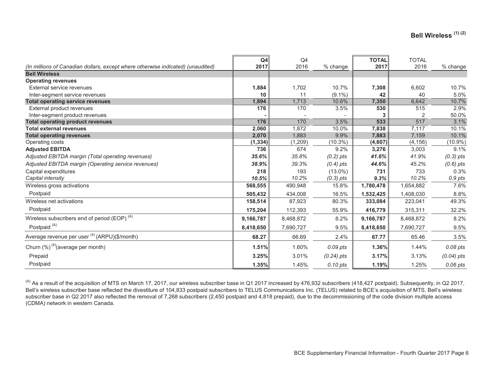|                                                                                 | Q4        | Q4        |              | <b>TOTAL</b> | <b>TOTAL</b> |              |
|---------------------------------------------------------------------------------|-----------|-----------|--------------|--------------|--------------|--------------|
| (In millions of Canadian dollars, except where otherwise indicated) (unaudited) | 2017      | 2016      | % change     | 2017         | 2016         | % change     |
| <b>Bell Wireless</b>                                                            |           |           |              |              |              |              |
| <b>Operating revenues</b>                                                       |           |           |              |              |              |              |
| External service revenues                                                       | 1,884     | 1,702     | 10.7%        | 7,308        | 6,602        | 10.7%        |
| Inter-segment service revenues                                                  | 10        | 11        | $(9.1\%)$    | 42           | 40           | 5.0%         |
| <b>Total operating service revenues</b>                                         | 1,894     | 1,713     | 10.6%        | 7,350        | 6,642        | 10.7%        |
| External product revenues                                                       | 176       | 170       | 3.5%         | 530          | 515          | 2.9%         |
| Inter-segment product revenues                                                  |           |           |              |              |              | 50.0%        |
| <b>Total operating product revenues</b>                                         | 176       | 170       | 3.5%         | 533          | 517          | 3.1%         |
| <b>Total external revenues</b>                                                  | 2,060     | 1,872     | 10.0%        | 7,838        | 7,117        | 10.1%        |
| <b>Total operating revenues</b>                                                 | 2,070     | 1,883     | 9.9%         | 7,883        | 7,159        | 10.1%        |
| Operating costs                                                                 | (1, 334)  | (1, 209)  | $(10.3\%)$   | (4,607)      | (4, 156)     | $(10.9\%)$   |
| <b>Adjusted EBITDA</b>                                                          | 736       | 674       | 9.2%         | 3,276        | 3,003        | 9.1%         |
| Adjusted EBITDA margin (Total operating revenues)                               | 35.6%     | 35.8%     | $(0.2)$ pts  | 41.6%        | 41.9%        | $(0.3)$ pts  |
| Adjusted EBITDA margin (Operating service revenues)                             | 38.9%     | 39.3%     | $(0.4)$ pts  | 44.6%        | 45.2%        | $(0.6)$ pts  |
| Capital expenditures                                                            | 218       | 193       | $(13.0\%)$   | 731          | 733          | 0.3%         |
| Capital intensity                                                               | 10.5%     | 10.2%     | $(0.3)$ pts  | 9.3%         | 10.2%        | 0.9 pts      |
| Wireless gross activations                                                      | 568,555   | 490,948   | 15.8%        | 1,780,478    | 1,654,882    | 7.6%         |
| Postpaid                                                                        | 505,432   | 434,008   | 16.5%        | 1,532,425    | 1,408,030    | 8.8%         |
| Wireless net activations                                                        | 158,514   | 87,923    | 80.3%        | 333,084      | 223,041      | 49.3%        |
| Postpaid                                                                        | 175,204   | 112,393   | 55.9%        | 416,779      | 315,311      | 32.2%        |
| Wireless subscribers end of period (EOP) <sup>(A)</sup>                         | 9,166,787 | 8,468,872 | 8.2%         | 9,166,787    | 8,468,872    | 8.2%         |
| Postpaid <sup>(A)</sup>                                                         | 8,418,650 | 7,690,727 | 9.5%         | 8,418,650    | 7,690,727    | 9.5%         |
| Average revenue per user <sup>(4)</sup> (ARPU)(\$/month)                        | 68.27     | 66.69     | 2.4%         | 67.77        | 65.46        | 3.5%         |
| Churn $(\%)^{(4)}$ (average per month)                                          | 1.51%     | 1.60%     | 0.09 pts     | 1.36%        | 1.44%        | 0.08 pts     |
| Prepaid                                                                         | 3.25%     | 3.01%     | $(0.24)$ pts | 3.17%        | 3.13%        | $(0.04)$ pts |
| Postpaid                                                                        | 1.35%     | 1.45%     | 0.10 pts     | 1.19%        | 1.25%        | 0.06 pts     |

<sup>&</sup>lt;sup>(A)</sup> As a result of the acquisition of MTS on March 17, 2017, our wireless subscriber base in Q1 2017 increased by 476,932 subscribers (418,427 postpaid). Subsequently, in Q2 2017, Bell's wireless subscriber base reflected the divestiture of 104,833 postpaid subscribers to TELUS Communications Inc. (TELUS) related to BCE's acquisition of MTS. Bell's wireless subscriber base in Q2 2017 also reflected the removal of 7,268 subscribers (2,450 postpaid and 4,818 prepaid), due to the decommissioning of the code division multiple access (CDMA) network in western Canada.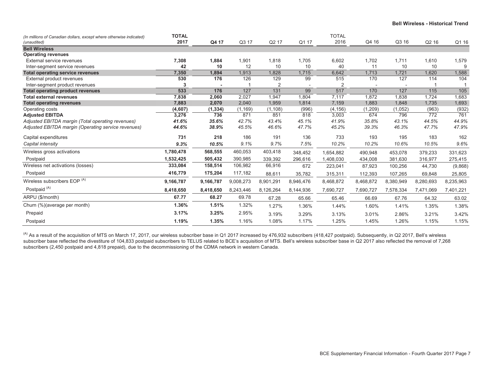| (In millions of Canadian dollars, except where otherwise indicated)<br>(unaudited) | <b>TOTAL</b><br>2017 | Q4 17     | Q3 17     | Q2 17     | Q1 17     | <b>TOTAL</b><br>2016 | Q4 16     | Q3 16     | Q <sub>2</sub> 16 | Q1 16          |
|------------------------------------------------------------------------------------|----------------------|-----------|-----------|-----------|-----------|----------------------|-----------|-----------|-------------------|----------------|
| <b>Bell Wireless</b>                                                               |                      |           |           |           |           |                      |           |           |                   |                |
| <b>Operating revenues</b>                                                          |                      |           |           |           |           |                      |           |           |                   |                |
| External service revenues                                                          | 7,308                | 1,884     | 1,901     | 1,818     | 1,705     | 6,602                | 1,702     | 1,711     | 1,610             | 1,579          |
| Inter-segment service revenues                                                     | 42                   | 10        | 12        | 10        | 10        | 40                   | 11        | 10        | 10                | 9              |
| <b>Total operating service revenues</b>                                            | 7,350                | 1,894     | 1,913     | 1,828     | 1,715     | 6,642                | 1,713     | 1,721     | 1,620             | 1,588          |
| External product revenues                                                          | 530                  | 176       | 126       | 129       | 99        | 515                  | 170       | 127       | 114               | 104            |
| Inter-segment product revenues                                                     | 3                    |           |           | 2         |           | $\overline{2}$       |           |           |                   | $\overline{1}$ |
| <b>Total operating product revenues</b>                                            | 533                  | 176       | 127       | 131       | 99        | 517                  | 170       | 127       | 115               | 105            |
| <b>Total external revenues</b>                                                     | 7,838                | 2,060     | 2,027     | 1,947     | 1,804     | 7,117                | 1,872     | 1,838     | 1,724             | 1,683          |
| <b>Total operating revenues</b>                                                    | 7,883                | 2,070     | 2,040     | 1,959     | 1,814     | 7,159                | 1,883     | 1,848     | 1,735             | 1,693          |
| Operating costs                                                                    | (4,607)              | (1, 334)  | (1, 169)  | (1, 108)  | (996)     | (4, 156)             | (1,209)   | (1,052)   | (963)             | (932)          |
| <b>Adjusted EBITDA</b>                                                             | 3,276                | 736       | 871       | 851       | 818       | 3,003                | 674       | 796       | 772               | 761            |
| Adjusted EBITDA margin (Total operating revenues)                                  | 41.6%                | 35.6%     | 42.7%     | 43.4%     | 45.1%     | 41.9%                | 35.8%     | 43.1%     | 44.5%             | 44.9%          |
| Adjusted EBITDA margin (Operating service revenues)                                | 44.6%                | 38.9%     | 45.5%     | 46.6%     | 47.7%     | 45.2%                | 39.3%     | 46.3%     | 47.7%             | 47.9%          |
| Capital expenditures                                                               | 731                  | 218       | 186       | 191       | 136       | 733                  | 193       | 195       | 183               | 162            |
| Capital intensity                                                                  | 9.3%                 | 10.5%     | 9.1%      | 9.7%      | 7.5%      | 10.2%                | 10.2%     | 10.6%     | 10.5%             | 9.6%           |
| Wireless gross activations                                                         | 1,780,478            | 568,555   | 460,053   | 403,418   | 348,452   | 1,654,882            | 490,948   | 453,078   | 379,233           | 331,623        |
| Postpaid                                                                           | 1,532,425            | 505,432   | 390,985   | 339.392   | 296,616   | 1,408,030            | 434,008   | 381,630   | 316,977           | 275,415        |
| Wireless net activations (losses)                                                  | 333,084              | 158,514   | 106,982   | 66,916    | 672       | 223,041              | 87,923    | 100,256   | 44,730            | (9,868)        |
| Postpaid                                                                           | 416,779              | 175,204   | 117,182   | 88,611    | 35,782    | 315,311              | 112,393   | 107,265   | 69,848            | 25,805         |
| Wireless subscribers EOP (A)                                                       | 9,166,787            | 9,166,787 | 9,008,273 | 8,901,291 | 8,946,476 | 8,468,872            | 8,468,872 | 8,380,949 | 8,280,693         | 8,235,963      |
| Postpaid <sup>(A)</sup>                                                            | 8,418,650            | 8,418,650 | 8,243,446 | 8,126,264 | 8,144,936 | 7,690,727            | 7,690,727 | 7,578,334 | 7,471,069         | 7,401,221      |
| ARPU (\$/month)                                                                    | 67.77                | 68.27     | 69.78     | 67.28     | 65.66     | 65.46                | 66.69     | 67.76     | 64.32             | 63.02          |
| Churn (%)(average per month)                                                       | 1.36%                | 1.51%     | 1.32%     | 1.27%     | 1.36%     | 1.44%                | 1.60%     | 1.41%     | 1.35%             | 1.38%          |
| Prepaid                                                                            | 3.17%                | 3.25%     | 2.95%     | 3.19%     | 3.29%     | 3.13%                | 3.01%     | 2.86%     | 3.21%             | 3.42%          |
| Postpaid                                                                           | 1.19%                | 1.35%     | 1.16%     | 1.08%     | 1.17%     | 1.25%                | 1.45%     | 1.26%     | 1.15%             | 1.15%          |

 $^{(\text{A})}$  As a result of the acquisition of MTS on March 17, 2017, our wireless subscriber base in Q1 2017 increased by 476,932 subscribers (418,427 postpaid). Subsequently, in Q2 2017, Bell's wireless subscriber base reflected the divestiture of 104,833 postpaid subscribers to TELUS related to BCE's acquisition of MTS. Bell's wireless subscriber base in Q2 2017 also reflected the removal of 7,268 subscribers (2,450 postpaid and 4,818 prepaid), due to the decommissioning of the CDMA network in western Canada.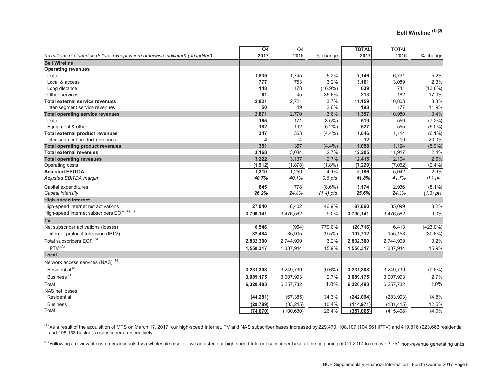|                                                                                 | Q4        | Q <sub>4</sub> |             | <b>TOTAL</b> | <b>TOTAL</b> |             |
|---------------------------------------------------------------------------------|-----------|----------------|-------------|--------------|--------------|-------------|
| (In millions of Canadian dollars, except where otherwise indicated) (unaudited) | 2017      | 2016           | % change    | 2017         | 2016         | % change    |
| <b>Bell Wireline</b>                                                            |           |                |             |              |              |             |
| <b>Operating revenues</b>                                                       |           |                |             |              |              |             |
| Data                                                                            | 1,835     | 1,745          | 5.2%        | 7,146        | 6,791        | 5.2%        |
| Local & access                                                                  | 777       | 753            | 3.2%        | 3,161        | 3,089        | 2.3%        |
| Long distance                                                                   | 148       | 178            | $(16.9\%)$  | 639          | 741          | $(13.8\%)$  |
| Other services                                                                  | 61        | 45             | 35.6%       | 213          | 182          | 17.0%       |
| Total external service revenues                                                 | 2,821     | 2,721          | 3.7%        | 11,159       | 10,803       | 3.3%        |
| Inter-segment service revenues                                                  | 50        | 49             | 2.0%        | 198          | 177          | 11.9%       |
| <b>Total operating service revenues</b>                                         | 2,871     | 2,770          | 3.6%        | 11,357       | 10,980       | 3.4%        |
| Data                                                                            | 165       | 171            | $(3.5\%)$   | 519          | 559          | $(7.2\%)$   |
| Equipment & other                                                               | 182       | 192            | $(5.2\%)$   | 527          | 555          | $(5.0\%)$   |
| <b>Total external product revenues</b>                                          | 347       | 363            | $(4.4\%)$   | 1,046        | 1,114        | $(6.1\%)$   |
| Inter-segment product revenues                                                  | 4         | 4              |             | 12           | 10           | 20.0%       |
| <b>Total operating product revenues</b>                                         | 351       | 367            | $(4.4\%)$   | 1,058        | 1,124        | $(5.9\%)$   |
| <b>Total external revenues</b>                                                  | 3,168     | 3,084          | 2.7%        | 12,205       | 11,917       | 2.4%        |
| <b>Total operating revenues</b>                                                 | 3,222     | 3,137          | 2.7%        | 12,415       | 12,104       | 2.6%        |
| Operating costs                                                                 | (1, 912)  | (1,878)        | $(1.8\%)$   | (7, 229)     | (7,062)      | $(2.4\%)$   |
| <b>Adjusted EBITDA</b>                                                          | 1,310     | 1,259          | 4.1%        | 5,186        | 5,042        | 2.9%        |
| Adjusted EBITDA margin                                                          | 40.7%     | 40.1%          | 0.6 pts     | 41.8%        | 41.7%        | 0.1 pts     |
| Capital expenditures                                                            | 845       | 778            | $(8.6\%)$   | 3,174        | 2,936        | $(8.1\%)$   |
| Capital intensity                                                               | 26.2%     | 24.8%          | $(1.4)$ pts | 25.6%        | 24.3%        | $(1.3)$ pts |
| <b>High-speed Internet</b>                                                      |           |                |             |              |              |             |
| High-speed Internet net activations                                             | 27,040    | 18,402         | 46.9%       | 87,860       | 85,099       | 3.2%        |
| High-speed Internet subscribers EOP (A) (B)                                     | 3,790,141 | 3,476,562      | 9.0%        | 3,790,141    | 3,476,562    | 9.0%        |
| <b>TV</b>                                                                       |           |                |             |              |              |             |
| Net subscriber activations (losses)                                             | 6,546     | (964)          | 779.0%      | (20, 716)    | 6,413        | $(423.0\%)$ |
| Internet protocol television (IPTV)                                             | 32,484    | 35,905         | $(9.5\%)$   | 107,712      | 155,153      | $(30.6\%)$  |
| Total subscribers EOP <sup>(A)</sup>                                            | 2,832,300 | 2,744,909      | 3.2%        | 2,832,300    | 2,744,909    | 3.2%        |
| IPTV <sup>(A)</sup>                                                             | 1,550,317 | 1,337,944      | 15.9%       | 1,550,317    | 1,337,944    | 15.9%       |
| Local                                                                           |           |                |             |              |              |             |
| Network access services (NAS) <sup>(A)</sup>                                    |           |                |             |              |              |             |
| Residential <sup>(A)</sup>                                                      | 3,231,308 | 3,249,739      | $(0.6\%)$   | 3,231,308    | 3,249,739    | $(0.6\%)$   |
| Business <sup>(A)</sup>                                                         | 3,089,175 | 3,007,993      | 2.7%        | 3,089,175    | 3,007,993    | 2.7%        |
| Total                                                                           | 6,320,483 | 6,257,732      | 1.0%        | 6,320,483    | 6,257,732    | 1.0%        |
| NAS net losses                                                                  |           |                |             |              |              |             |
| Residential                                                                     | (44, 281) | (67, 385)      | 34.3%       | (242, 094)   | (283, 993)   | 14.8%       |
| <b>Business</b>                                                                 | (29, 789) | (33, 245)      | 10.4%       | (114, 971)   | (131, 415)   | 12.5%       |
| Total                                                                           | (74, 070) | (100, 630)     | 26.4%       | (357,065)    | (415, 408)   | 14.0%       |

 $^{(\mathrm{A})}$ As a result of the acquisition of MTS on March 17, 2017, our high-speed Internet, TV and NAS subscriber bases increased by 229,470, 108,107 (104,661 IPTV) and 419,816 (223,663 residential and 196,153 business) subscribers, respectively.

<sup>(B)</sup> Following a review of customer accounts by a wholesale reseller, we adjusted our high-speed Internet subscriber base at the beginning of Q1 2017 to remove 3,751 non-revenue generating units.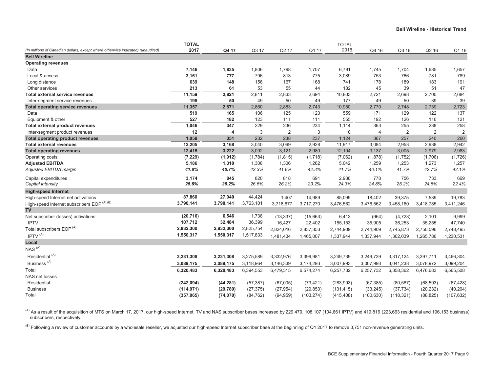|                                                                                 | <b>TOTAL</b> |           |           |                |            | <b>TOTAL</b> |                |                |           |                |
|---------------------------------------------------------------------------------|--------------|-----------|-----------|----------------|------------|--------------|----------------|----------------|-----------|----------------|
| (In millions of Canadian dollars, except where otherwise indicated) (unaudited) | 2017         | Q4 17     | Q3 17     | Q2 17          | Q1 17      | 2016         | Q4 16          | Q3 16          | Q2 16     | Q1 16          |
| <b>Bell Wireline</b>                                                            |              |           |           |                |            |              |                |                |           |                |
| <b>Operating revenues</b>                                                       |              |           |           |                |            |              |                |                |           |                |
| Data                                                                            | 7,146        | 1,835     | 1,806     | 1,798          | 1,707      | 6,791        | 1,745          | 1,704          | 1,685     | 1,657          |
| Local & access                                                                  | 3,161        | 777       | 796       | 813            | 775        | 3,089        | 753            | 766            | 781       | 789            |
| Long distance                                                                   | 639          | 148       | 156       | 167            | 168        | 741          | 178            | 189            | 183       | 191            |
| Other services                                                                  | 213          | 61        | 53        | 55             | 44         | 182          | 45             | 39             | 51        | 47             |
| Total external service revenues                                                 | 11,159       | 2,821     | 2,811     | 2,833          | 2,694      | 10,803       | 2,721          | 2,698          | 2,700     | 2,684          |
| Inter-segment service revenues                                                  | 198          | 50        | 49        | 50             | 49         | 177          | 49             | 50             | 39        | 39             |
| <b>Total operating service revenues</b>                                         | 11,357       | 2,871     | 2,860     | 2,883          | 2,743      | 10,980       | 2,770          | 2,748          | 2,739     | 2,723          |
| Data                                                                            | 519          | 165       | 106       | 125            | 123        | 559          | 171            | 129            | 122       | 137            |
| Equipment & other                                                               | 527          | 182       | 123       | 111            | 111        | 555          | 192            | 126            | 116       | 121            |
| <b>Total external product revenues</b>                                          | 1,046        | 347       | 229       | 236            | 234        | 1,114        | 363            | 255            | 238       | 258            |
| Inter-segment product revenues                                                  | 12           | 4         | 3         | $\overline{2}$ | 3          | 10           | $\overline{4}$ | $\overline{2}$ | 2         | $\overline{2}$ |
| <b>Total operating product revenues</b>                                         | 1,058        | 351       | 232       | 238            | 237        | 1,124        | 367            | 257            | 240       | 260            |
| <b>Total external revenues</b>                                                  | 12,205       | 3,168     | 3,040     | 3,069          | 2,928      | 11,917       | 3,084          | 2,953          | 2,938     | 2,942          |
| <b>Total operating revenues</b>                                                 | 12,415       | 3,222     | 3,092     | 3,121          | 2,980      | 12,104       | 3,137          | 3,005          | 2,979     | 2,983          |
| Operating costs                                                                 | (7, 229)     | (1, 912)  | (1,784)   | (1, 815)       | (1,718)    | (7,062)      | (1,878)        | (1,752)        | (1,706)   | (1,726)        |
| <b>Adjusted EBITDA</b>                                                          | 5,186        | 1,310     | 1,308     | 1,306          | 1,262      | 5,042        | 1,259          | 1,253          | 1,273     | 1,257          |
| Adjusted EBITDA margin                                                          | 41.8%        | 40.7%     | 42.3%     | 41.8%          | 42.3%      | 41.7%        | 40.1%          | 41.7%          | 42.7%     | 42.1%          |
| Capital expenditures                                                            | 3,174        | 845       | 820       | 818            | 691        | 2,936        | 778            | 756            | 733       | 669            |
| Capital intensity                                                               | 25.6%        | 26.2%     | 26.5%     | 26.2%          | 23.2%      | 24.3%        | 24.8%          | 25.2%          | 24.6%     | 22.4%          |
| <b>High-speed Internet</b>                                                      |              |           |           |                |            |              |                |                |           |                |
| High-speed Internet net activations                                             | 87,860       | 27,040    | 44,424    | 1,407          | 14,989     | 85,099       | 18,402         | 39,375         | 7,539     | 19,783         |
| High-speed Internet subscribers EOP (A) (B)                                     | 3,790,141    | 3,790,141 | 3,763,101 | 3,718,677      | 3,717,270  | 3,476,562    | 3,476,562      | 3,458,160      | 3,418,785 | 3,411,246      |
| <b>TV</b>                                                                       |              |           |           |                |            |              |                |                |           |                |
| Net subscriber (losses) activations                                             | (20, 716)    | 6,546     | 1,738     | (13, 337)      | (15,663)   | 6,413        | (964)          | (4, 723)       | 2,101     | 9,999          |
| <b>IPTV</b>                                                                     | 107,712      | 32,484    | 36,399    | 16,427         | 22,402     | 155,153      | 35,905         | 36,253         | 35,255    | 47,740         |
| Total subscribers EOP <sup>(A)</sup>                                            | 2,832,300    | 2,832,300 | 2,825,754 | 2,824,016      | 2,837,353  | 2,744,909    | 2,744,909      | 2,745,873      | 2,750,596 | 2,748,495      |
| IPTV <sup>(A)</sup>                                                             | 1,550,317    | 1,550,317 | 1,517,833 | 1,481,434      | 1,465,007  | 1,337,944    | 1,337,944      | 1,302,039      | 1,265,786 | 1,230,531      |
| Local                                                                           |              |           |           |                |            |              |                |                |           |                |
| NAS <sup>(A)</sup>                                                              |              |           |           |                |            |              |                |                |           |                |
| Residential <sup>(A)</sup>                                                      | 3,231,308    | 3,231,308 | 3,275,589 | 3,332,976      | 3,399,981  | 3,249,739    | 3,249,739      | 3,317,124      | 3,397,711 | 3,466,304      |
| Business <sup>(A)</sup>                                                         | 3,089,175    | 3,089,175 | 3,118,964 | 3,146,339      | 3,174,293  | 3,007,993    | 3,007,993      | 3,041,238      | 3,078,972 | 3,099,204      |
| Total                                                                           | 6,320,483    | 6,320,483 | 6,394,553 | 6,479,315      | 6,574,274  | 6,257,732    | 6,257,732      | 6,358,362      | 6,476,683 | 6,565,508      |
| NAS net losses                                                                  |              |           |           |                |            |              |                |                |           |                |
| Residential                                                                     | (242, 094)   | (44, 281) | (57, 387) | (67,005)       | (73, 421)  | (283, 993)   | (67, 385)      | (80, 587)      | (68, 593) | (67, 428)      |
| <b>Business</b>                                                                 | (114, 971)   | (29, 789) | (27, 375) | (27, 954)      | (29, 853)  | (131, 415)   | (33, 245)      | (37, 734)      | (20, 232) | (40, 204)      |
| Total                                                                           | (357,065)    | (74, 070) | (84, 762) | (94, 959)      | (103, 274) | (415, 408)   | (100, 630)     | (118, 321)     | (88, 825) | (107, 632)     |
|                                                                                 |              |           |           |                |            |              |                |                |           |                |

 $^{(A)}$  As a result of the acquisition of MTS on March 17, 2017, our high-speed Internet, TV and NAS subscriber bases increased by 229,470, 108,107 (104,661 IPTV) and 419,816 (223,663 residential and 196,153 business) subscribers, respectively.

<sup>(B)</sup> Following a review of customer accounts by a wholesale reseller, we adjusted our high-speed Internet subscriber base at the beginning of Q1 2017 to remove 3,751 non-revenue generating units.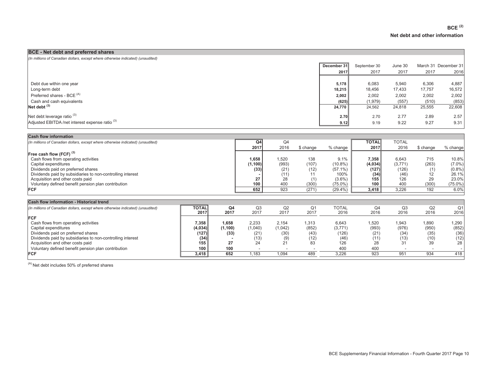-

| <b>BCE</b> - Net debt and preferred shares                                      |             |              |         |        |                      |
|---------------------------------------------------------------------------------|-------------|--------------|---------|--------|----------------------|
| (In millions of Canadian dollars, except where otherwise indicated) (unaudited) |             |              |         |        |                      |
|                                                                                 | December 31 | September 30 | June 30 |        | March 31 December 31 |
|                                                                                 | 2017        | 2017         | 2017    | 2017   | 2016                 |
|                                                                                 |             |              |         |        |                      |
| Debt due within one year                                                        | 5,178       | 6,083        | 5,940   | 6,306  | 4,887                |
| Long-term debt                                                                  | 18,215      | 18,456       | 17,433  | 17,757 | 16,572               |
| Preferred shares - BCE <sup>(A)</sup>                                           | 2,002       | 2,002        | 2,002   | 2,002  | 2,002                |
| Cash and cash equivalents                                                       | (625)       | (1, 979)     | (557)   | (510)  | (853)                |
| $Net$ debt $(3)$                                                                | 24.770      | 24,562       | 24,818  | 25,555 | 22,608               |
| Net debt leverage ratio $(3)$                                                   | <b>2.70</b> | 2.70         | 2.77    | 2.89   | 2.57                 |
| Adjusted EBITDA/net interest expense ratio <sup>(3)</sup>                       | 9.12        | 9.19         | 9.22    | 9.27   | 9.31                 |

| <b>Cash flow information</b>                                                                                                                                                                                                                                                                                     |                                                          |                                              |                                                 |                                                                            |                                              |                                                                                   |                                                          |                                                                         |                                                 |                                                                     |
|------------------------------------------------------------------------------------------------------------------------------------------------------------------------------------------------------------------------------------------------------------------------------------------------------------------|----------------------------------------------------------|----------------------------------------------|-------------------------------------------------|----------------------------------------------------------------------------|----------------------------------------------|-----------------------------------------------------------------------------------|----------------------------------------------------------|-------------------------------------------------------------------------|-------------------------------------------------|---------------------------------------------------------------------|
| (In millions of Canadian dollars, except where otherwise indicated) (unaudited)                                                                                                                                                                                                                                  |                                                          |                                              | Q4<br>2017                                      | Q4<br>2016                                                                 | \$ change                                    | % change                                                                          | <b>TOTAL</b><br>2017                                     | <b>TOTAL</b><br>2016                                                    | \$ change                                       | % change!                                                           |
| Free cash flow (FCF) <sup>(3)</sup><br>Cash flows from operating activities<br>Capital expenditures<br>Dividends paid on preferred shares<br>Dividends paid by subsidiaries to non-controlling interest<br>Acquisition and other costs paid<br>Voluntary defined benefit pension plan contribution<br><b>FCF</b> |                                                          |                                              | 1,658<br>(1, 100)<br>(33)<br>27<br>100<br>652   | 1,520<br>(993)<br>(21)<br>(11)<br>28<br>400<br>923                         | 138<br>(107)<br>(12)<br>11<br>(300)<br>(271) | 9.1%<br>$(10.8\%)$<br>$(57.1\%)$<br>100%<br>$(3.6\%)$<br>$(75.0\%)$<br>$(29.4\%)$ | 7,358<br>(4,034)<br>(127)<br>(34)<br>155<br>100<br>3,418 | 6,643<br>(3,771)<br>(126)<br>(46)<br>126<br>400<br>3,226                | 715<br>(263)<br>(1)<br>12<br>29<br>(300)<br>192 | 10.8%<br>$(7.0\%)$<br>(0.8%<br>26.1%<br>23.0%<br>$(75.0\%)$<br>6.0% |
| Cash flow information - Historical trend                                                                                                                                                                                                                                                                         |                                                          |                                              |                                                 |                                                                            |                                              |                                                                                   |                                                          |                                                                         |                                                 |                                                                     |
| (In millions of Canadian dollars, except where otherwise indicated) (unaudited)                                                                                                                                                                                                                                  | <b>TOTAL</b><br>2017                                     | Q <sub>4</sub><br>2017                       | Q <sub>3</sub><br>2017                          | Q2<br>2017                                                                 | Q <sub>1</sub><br>2017                       | <b>TOTAL</b><br>2016                                                              | Q4<br>2016                                               | Q <sub>3</sub><br>2016                                                  | Q2<br>2016                                      | Q <sub>1</sub><br>2016                                              |
| <b>FCF</b><br>Cash flows from operating activities<br>Capital expenditures<br>Dividends paid on preferred shares<br>Dividends paid by subsidiaries to non-controlling interest<br>Acquisition and other costs paid<br>Voluntary defined benefit pension plan contribution<br><b>FCF</b>                          | 7,358<br>(4,034)<br>(127)<br>(34)<br>155<br>100<br>3,418 | 1,658<br>(1,100)<br>(33)<br>27<br>100<br>652 | 2,233<br>(1,040)<br>(21)<br>(13)<br>24<br>1.183 | 2,154<br>(1,042)<br>(30)<br>(9)<br>21<br>$\overline{\phantom{a}}$<br>1,094 | 1,313<br>(852)<br>(43)<br>(12)<br>83<br>489  | 6,643<br>(3,771)<br>(126)<br>(46)<br>126<br>400<br>3,226                          | 1,520<br>(993)<br>(21)<br>(11)<br>28<br>400<br>923       | 1,943<br>(976)<br>(34)<br>(13)<br>31<br>$\overline{\phantom{a}}$<br>951 | 1,890<br>(950)<br>(35)<br>(10)<br>39<br>934     | 1,290<br>(852)<br>(36)<br>(12)<br>28<br>418                         |

 $(A)$  Net debt includes 50% of preferred shares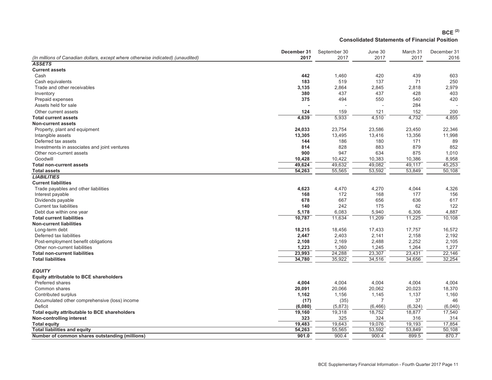#### **BCE (2) Consolidated Statements of Financial Position**

|                                                                                 | December 31 | September 30 | June 30  | March 31 | December 31 |
|---------------------------------------------------------------------------------|-------------|--------------|----------|----------|-------------|
| (In millions of Canadian dollars, except where otherwise indicated) (unaudited) | 2017        | 2017         | 2017     | 2017     | 2016        |
| <b>ASSETS</b>                                                                   |             |              |          |          |             |
| <b>Current assets</b>                                                           |             |              |          |          |             |
| Cash                                                                            | 442         | 1,460        | 420      | 439      | 603         |
| Cash equivalents                                                                | 183         | 519          | 137      | 71       | 250         |
| Trade and other receivables                                                     | 3,135       | 2,864        | 2,845    | 2,818    | 2,979       |
| Inventory                                                                       | 380         | 437          | 437      | 428      | 403         |
| Prepaid expenses                                                                | 375         | 494          | 550      | 540      | 420         |
| Assets held for sale                                                            |             |              |          | 284      |             |
| Other current assets                                                            | 124         | 159          | 121      | 152      | 200         |
| <b>Total current assets</b>                                                     | 4,639       | 5,933        | 4,510    | 4,732    | 4,855       |
| <b>Non-current assets</b>                                                       |             |              |          |          |             |
| Property, plant and equipment                                                   | 24,033      | 23,754       | 23,586   | 23,450   | 22,346      |
| Intangible assets                                                               | 13,305      | 13,495       | 13,416   | 13,356   | 11,998      |
| Deferred tax assets                                                             | 144         | 186          | 180      | 171      | 89          |
| Investments in associates and joint ventures                                    | 814         | 828          | 883      | 879      | 852         |
| Other non-current assets                                                        | 900         | 947          | 634      | 875      | 1,010       |
| Goodwill                                                                        | 10,428      | 10,422       | 10,383   | 10,386   | 8,958       |
| <b>Total non-current assets</b>                                                 | 49,624      | 49,632       | 49,082   | 49,117   | 45,253      |
| <b>Total assets</b>                                                             | 54,263      | 55,565       | 53,592   | 53,849   | 50,108      |
| <b>LIABILITIES</b>                                                              |             |              |          |          |             |
| <b>Current liabilities</b>                                                      |             |              |          |          |             |
| Trade payables and other liabilities                                            | 4,623       | 4,470        | 4,270    | 4,044    | 4,326       |
| Interest payable                                                                | 168         | 172          | 168      | 177      | 156         |
| Dividends payable                                                               | 678         | 667          | 656      | 636      | 617         |
| <b>Current tax liabilities</b>                                                  | 140         | 242          | 175      | 62       | 122         |
| Debt due within one year                                                        | 5,178       | 6,083        | 5,940    | 6,306    | 4,887       |
| <b>Total current liabilities</b>                                                | 10,787      | 11,634       | 11,209   | 11,225   | 10,108      |
| <b>Non-current liabilities</b>                                                  |             |              |          |          |             |
| Long-term debt                                                                  | 18,215      | 18,456       | 17,433   | 17,757   | 16,572      |
| Deferred tax liabilities                                                        | 2,447       | 2,403        | 2,141    | 2,158    | 2,192       |
| Post-employment benefit obligations                                             | 2,108       | 2,169        | 2,488    | 2,252    | 2,105       |
| Other non-current liabilities                                                   | 1,223       | 1,260        | 1,245    | 1,264    | 1,277       |
| <b>Total non-current liabilities</b>                                            | 23,993      | 24,288       | 23,307   | 23,431   | 22,146      |
| <b>Total liabilities</b>                                                        | 34,780      | 35,922       | 34,516   | 34,656   | 32,254      |
|                                                                                 |             |              |          |          |             |
| <b>EQUITY</b>                                                                   |             |              |          |          |             |
| <b>Equity attributable to BCE shareholders</b>                                  |             |              |          |          |             |
| <b>Preferred shares</b>                                                         | 4,004       | 4,004        | 4,004    | 4,004    | 4,004       |
| Common shares                                                                   | 20,091      | 20,066       | 20,062   | 20,023   | 18,370      |
| Contributed surplus                                                             | 1,162       | 1,156        | 1,145    | 1,137    | 1,160       |
| Accumulated other comprehensive (loss) income                                   | (17)        | (35)         | 7        | 37       | 46          |
| <b>Deficit</b>                                                                  | (6,080)     | (5,873)      | (6, 466) | (6, 324) | (6,040)     |
| Total equity attributable to BCE shareholders                                   | 19,160      | 19,318       | 18,752   | 18,877   | 17,540      |
| Non-controlling interest                                                        | 323         | 325          | 324      | 316      | 314         |
| <b>Total equity</b>                                                             | 19,483      | 19,643       | 19,076   | 19,193   | 17,854      |
| <b>Total liabilities and equity</b>                                             | 54,263      | 55,565       | 53,592   | 53,849   | 50,108      |
| Number of common shares outstanding (millions)                                  | 901.0       | 900.4        | 900.4    | 899.5    | 870.7       |
|                                                                                 |             |              |          |          |             |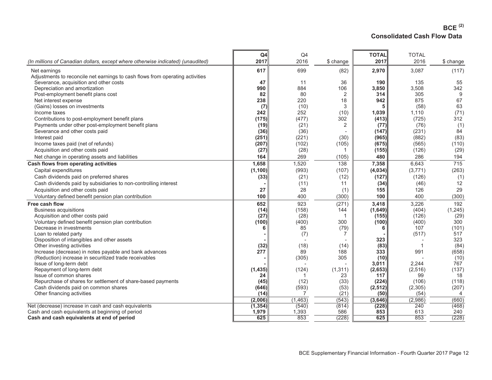### **BCE (2) Consolidated Cash Flow Data**

|                                                                                 | Q4           | Q4       |              | <b>TOTAL</b> | <b>TOTAL</b> |                 |
|---------------------------------------------------------------------------------|--------------|----------|--------------|--------------|--------------|-----------------|
| (In millions of Canadian dollars, except where otherwise indicated) (unaudited) | 2017         | 2016     | \$ change    | 2017         | 2016         | \$ change       |
| Net earnings                                                                    | 617          | 699      | (82)         | 2,970        | 3,087        | (117)           |
| Adjustments to reconcile net earnings to cash flows from operating activities   |              |          |              |              |              |                 |
| Severance, acquisition and other costs                                          | 47           | 11       | 36           | 190          | 135          | 55              |
| Depreciation and amortization                                                   | 990          | 884      | 106          | 3,850        | 3,508        | 342             |
| Post-employment benefit plans cost                                              | 82           | 80       | 2            | 314          | 305          | 9               |
| Net interest expense                                                            | 238          | 220      | 18           | 942          | 875          | 67              |
| (Gains) losses on investments                                                   | (7)          | (10)     | 3            | 5            | (58)         | 63              |
| Income taxes                                                                    | 242          | 252      | (10)         | 1,039        | 1,110        | (71)            |
| Contributions to post-employment benefit plans                                  | (175)        | (477)    | 302          | (413)        | (725)        | 312             |
| Payments under other post-employment benefit plans                              | (19)         | (21)     | 2            | (77)         | (76)         | (1)             |
| Severance and other costs paid                                                  | (36)         | (36)     |              | (147)        | (231)        | 84              |
| Interest paid                                                                   | (251)        | (221)    | (30)         | (965)        | (882)        | (83)            |
| Income taxes paid (net of refunds)                                              | (207)        | (102)    | (105)        | (675)        | (565)        | (110)           |
| Acquisition and other costs paid                                                | (27)         | (28)     | 1            | (155)        | (126)        | (29)            |
| Net change in operating assets and liabilities                                  | 164          | 269      | (105)        | 480          | 286          | 194             |
| Cash flows from operating activities                                            | 1,658        | 1,520    | 138          | 7,358        | 6,643        | $\frac{1}{715}$ |
| Capital expenditures                                                            | (1, 100)     | (993)    | (107)        | (4,034)      | (3,771)      | (263)           |
| Cash dividends paid on preferred shares                                         | (33)         | (21)     | (12)         | (127)        | (126)        | (1)             |
| Cash dividends paid by subsidiaries to non-controlling interest                 |              | (11)     | 11           | (34)         | (46)         | 12              |
| Acquisition and other costs paid                                                | 27           | 28       | (1)          | 155          | 126          | 29              |
| Voluntary defined benefit pension plan contribution                             | 100          | 400      | (300)        | 100          | 400          | (300)           |
| Free cash flow                                                                  | 652          | 923      | (271)        | 3,418        | 3,226        | 192             |
| <b>Business acquisitions</b>                                                    | (14)         | (158)    | 144          | (1,649)      | (404)        | (1, 245)        |
| Acquisition and other costs paid                                                | (27)         | (28)     | -1           | (155)        | (126)        | (29)            |
| Voluntary defined benefit pension plan contribution                             | (100)        | (400)    | 300          | (100)        | (400)        | 300             |
| Decrease in investments                                                         | 6            | 85       | (79)         | 6            | 107          | (101)           |
| Loan to related party                                                           |              | (7)      | 7            |              | (517)        | 517             |
| Disposition of intangibles and other assets                                     |              |          |              | 323          |              | 323             |
| Other investing activities                                                      | (32)         | (18)     | (14)         | (83)         |              | (84)            |
| Increase (decrease) in notes payable and bank advances                          | 277          | 89       | 188          | 333          | 991          | (658)           |
| (Reduction) increase in securitized trade receivables                           |              | (305)    | 305          | (10)         |              | (10)            |
| Issue of long-term debt                                                         |              |          |              | 3,011        | 2,244        | 767             |
| Repayment of long-term debt                                                     | (1, 435)     | (124)    | (1, 311)     | (2,653)      | (2,516)      | (137)           |
| Issue of common shares                                                          | 24           |          | 23           | 117          | 99           | 18              |
| Repurchase of shares for settlement of share-based payments                     | (45)         | (12)     | (33)         | (224)        | (106)        | (118)           |
| Cash dividends paid on common shares                                            | (646)        | (593)    | (53)         | (2, 512)     | (2,305)      | (207)           |
| Other financing activities                                                      | (14)         |          | (21)         | (50)         | (54)         | $\overline{4}$  |
|                                                                                 | (2,006)      | (1, 463) | (543)        | (3,646)      | (2,986)      | (660)           |
| Net (decrease) increase in cash and cash equivalents                            | (1, 354)     | (540)    | (814)        | (228)        | 240          | (468)           |
| Cash and cash equivalents at beginning of period                                | 1,979<br>625 | 1,393    | 586<br>(228) | 853<br>625   | 613<br>853   | 240<br>(228)    |
| Cash and cash equivalents at end of period                                      |              | 853      |              |              |              |                 |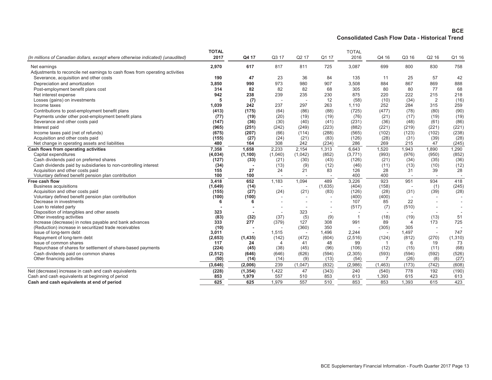#### **BCE Consolidated Cash Flow Data - Historical Trend**

|                                                                                                          | <b>TOTAL</b><br>2017 | Q4 17             | Q3 17          | Q2 17                             | Q1 17        | <b>TOTAL</b><br>2016 | Q4 16          | Q3 16                 | Q2 16                             | Q1 16        |
|----------------------------------------------------------------------------------------------------------|----------------------|-------------------|----------------|-----------------------------------|--------------|----------------------|----------------|-----------------------|-----------------------------------|--------------|
| (In millions of Canadian dollars, except where otherwise indicated) (unaudited)                          |                      |                   |                |                                   |              |                      |                |                       |                                   |              |
| Net earnings                                                                                             | 2,970                | 617               | 817            | 811                               | 725          | 3,087                | 699            | 800                   | 830                               | 758          |
| Adjustments to reconcile net earnings to cash flows from operating activities                            |                      |                   |                |                                   |              |                      |                |                       |                                   |              |
| Severance, acquisition and other costs                                                                   | 190                  | 47                | 23             | 36                                | 84           | 135                  | 11             | 25                    | 57                                | 42           |
| Depreciation and amortization                                                                            | 3,850                | 990               | 973            | 980                               | 907          | 3,508                | 884            | 867                   | 869                               | 888          |
| Post-employment benefit plans cost                                                                       | 314                  | 82                | 82             | 82                                | 68           | 305                  | 80             | 80                    | 77                                | 68           |
| Net interest expense                                                                                     | 942                  | 238               | 239            | 235                               | 230          | 875                  | 220            | 222                   | 215                               | 218          |
| Losses (gains) on investments                                                                            | 5                    | (7)               | $\sim$         |                                   | 12           | (58)                 | (10)           | (34)                  | 2                                 | (16)         |
| Income taxes                                                                                             | 1,039                | 242               | 237            | 297                               | 263          | 1,110                | 252            | 284                   | 315                               | 259          |
| Contributions to post-employment benefit plans                                                           | (413)                | (175)             | (64)           | (86)                              | (88)         | (725)                | (477)          | (78)                  | (80)                              | (90)         |
| Payments under other post-employment benefit plans                                                       | (77)                 | (19)              | (20)           | (19)                              | (19)         | (76)                 | (21)           | (17)                  | (19)                              | (19)         |
| Severance and other costs paid                                                                           | (147)                | (36)              | (30)           | (40)                              | (41)         | (231)                | (36)           | (48)                  | (61)                              | (86)         |
| Interest paid                                                                                            | (965)                | (251)             | (242)          | (249)                             | (223)        | (882)                | (221)          | (219)                 | (221)                             | (221)        |
| Income taxes paid (net of refunds)                                                                       | (675)                | (207)             | (66)           | (114)                             | (288)        | (565)                | (102)          | (123)                 | (102)                             | (238)        |
| Acquisition and other costs paid                                                                         | (155)                | (27)              | (24)           | (21)                              | (83)         | (126)                | (28)           | (31)                  | (39)                              | (28)         |
| Net change in operating assets and liabilities                                                           | 480                  | 164               | 308            | 242                               | (234)        | 286                  | 269            | 215                   | 47                                | (245)        |
| Cash flows from operating activities                                                                     | 7,358                | 1,658             | 2,233          | 2,154                             | 1,313        | 6,643                | 1,520          | 1,943                 | 1,890                             | 1,290        |
| Capital expenditures                                                                                     | (4,034)              | (1, 100)          | (1,040)        | (1,042)                           | (852)        | (3,771)              | (993)          | (976)                 | (950)                             | (852)        |
| Cash dividends paid on preferred shares                                                                  | (127)                | (33)              | (21)           | (30)                              | (43)         | (126)                | (21)           | (34)                  | (35)                              | (36)         |
| Cash dividends paid by subsidiaries to non-controlling interest                                          | (34)                 |                   | (13)           | (9)                               | (12)         | (46)                 | (11)           | (13)                  | (10)                              | (12)         |
| Acquisition and other costs paid                                                                         | 155                  | 27                | 24             | 21                                | 83           | 126                  | 28             | 31                    | 39                                | 28           |
| Voluntary defined benefit pension plan contribution                                                      | 100                  | 100               |                |                                   |              | 400                  | 400            |                       |                                   |              |
| Free cash flow                                                                                           | 3,418                | 652               | 1,183          | 1,094                             | 489          | 3,226                | 923            | 951                   | 934                               | 418          |
| <b>Business acquisitions</b>                                                                             | (1,649)              | (14)              |                |                                   | (1,635)      | (404)                | (158)          |                       | (1)                               | (245)        |
| Acquisition and other costs paid                                                                         | (155)                | (27)              | (24)           | (21)                              | (83)         | (126)                | (28)           | (31)                  | (39)                              | (28)         |
| Voluntary defined benefit pension plan contribution                                                      | (100)                | (100)             |                |                                   |              | (400)                | (400)          |                       |                                   |              |
| Decrease in investments                                                                                  |                      | 6                 |                |                                   |              | 107                  | 85             | 22                    |                                   |              |
| Loan to related party                                                                                    |                      |                   |                |                                   |              | (517)                | (7)            | (510)                 |                                   |              |
| Disposition of intangibles and other assets                                                              | 323                  |                   |                | 323                               |              |                      |                |                       |                                   |              |
| Other investing activities                                                                               | (83)                 | (32)              | (37)           | (5)                               | (9)          | $\mathbf{1}$         | (18)<br>89     | (19)                  | (13)                              | 51           |
| Increase (decrease) in notes payable and bank advances                                                   | 333                  | 277               | (379)          | 127<br>(360)                      | 308<br>350   | 991                  | (305)          | $\overline{4}$<br>305 | 173                               | 725          |
| (Reduction) increase in securitized trade receivables                                                    | (10)                 |                   | 1,515          |                                   | 1,496        | 2,244                |                | 1,497                 |                                   | 747          |
| Issue of long-term debt<br>Repayment of long-term debt                                                   | 3,011<br>(2,653)     | (1, 435)          | (142)          | $\overline{\phantom{a}}$<br>(472) | (604)        | (2,516)              | (124)          | (812)                 | $\overline{\phantom{a}}$<br>(270) | (1, 310)     |
| Issue of common shares                                                                                   | 117                  | 24                | $\overline{4}$ | 41                                | 48           | 99                   | -1             | 6                     | 19                                | 73           |
| Repurchase of shares for settlement of share-based payments                                              | (224)                | (45)              | (38)           | (45)                              | (96)         | (106)                | (12)           | (15)                  | (11)                              | (68)         |
| Cash dividends paid on common shares                                                                     | (2,512)              | (646)             | (646)          | (626)                             | (594)        | (2,305)              | (593)          | (594)                 | (592)                             | (526)        |
| Other financing activities                                                                               | (50)                 | (14)              | (14)           | (9)                               | (13)         | (54)                 |                | (26)                  | (8)                               | (27)         |
|                                                                                                          | (3,646)              | (2,006)           | 239            | (1,047)                           | (832)        | (2,986)              | (1, 463)       | (173)                 | (742)                             | (608)        |
|                                                                                                          |                      |                   |                |                                   |              |                      |                |                       |                                   |              |
| Net (decrease) increase in cash and cash equivalents<br>Cash and cash equivalents at beginning of period | (228)<br>853         | (1, 354)<br>1,979 | 1,422<br>557   | 47<br>510                         | (343)<br>853 | 240<br>613           | (540)<br>1,393 | 778<br>615            | 192<br>423                        | (190)<br>613 |
| Cash and cash equivalents at end of period                                                               | 625                  | 625               | 1.979          | 557                               | 510          | 853                  | 853            | 1.393                 | 615                               | 423          |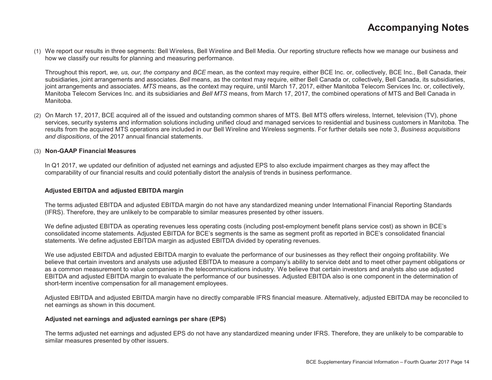(1) We report our results in three segments: Bell Wireless, Bell Wireline and Bell Media. Our reporting structure reflects how we manage our business and how we classify our results for planning and measuring performance.

Throughout this report, *we, us, our, the company* and *BCE* mean, as the context may require, either BCE Inc. or, collectively, BCE Inc., Bell Canada, their subsidiaries, joint arrangements and associates. *Bell* means, as the context may require, either Bell Canada or, collectively, Bell Canada, its subsidiaries, joint arrangements and associates. *MTS* means, as the context may require, until March 17, 2017, either Manitoba Telecom Services Inc. or, collectively, Manitoba Telecom Services Inc. and its subsidiaries and *Bell MTS* means, from March 17, 2017, the combined operations of MTS and Bell Canada in Manitoba.

(2) On March 17, 2017, BCE acquired all of the issued and outstanding common shares of MTS. Bell MTS offers wireless, Internet, television (TV), phone services, security systems and information solutions including unified cloud and managed services to residential and business customers in Manitoba. The results from the acquired MTS operations are included in our Bell Wireline and Wireless segments. For further details see note 3, *Business acquisitions and dispositions*, of the 2017 annual financial statements.

#### (3) **Non-GAAP Financial Measures**

In Q1 2017, we updated our definition of adjusted net earnings and adjusted EPS to also exclude impairment charges as they may affect the comparability of our financial results and could potentially distort the analysis of trends in business performance.

#### **Adjusted EBITDA and adjusted EBITDA margin**

The terms adjusted EBITDA and adjusted EBITDA margin do not have any standardized meaning under International Financial Reporting Standards (IFRS). Therefore, they are unlikely to be comparable to similar measures presented by other issuers.

We define adjusted EBITDA as operating revenues less operating costs (including post-employment benefit plans service cost) as shown in BCE's consolidated income statements. Adjusted EBITDA for BCE's segments is the same as segment profit as reported in BCE's consolidated financial statements. We define adjusted EBITDA margin as adjusted EBITDA divided by operating revenues.

We use adjusted EBITDA and adjusted EBITDA margin to evaluate the performance of our businesses as they reflect their ongoing profitability. We believe that certain investors and analysts use adjusted EBITDA to measure a company's ability to service debt and to meet other payment obligations or as a common measurement to value companies in the telecommunications industry. We believe that certain investors and analysts also use adjusted EBITDA and adjusted EBITDA margin to evaluate the performance of our businesses. Adjusted EBITDA also is one component in the determination of short-term incentive compensation for all management employees.

Adjusted EBITDA and adjusted EBITDA margin have no directly comparable IFRS financial measure. Alternatively, adjusted EBITDA may be reconciled to net earnings as shown in this document.

#### **Adjusted net earnings and adjusted earnings per share (EPS)**

The terms adjusted net earnings and adjusted EPS do not have any standardized meaning under IFRS. Therefore, they are unlikely to be comparable to similar measures presented by other issuers.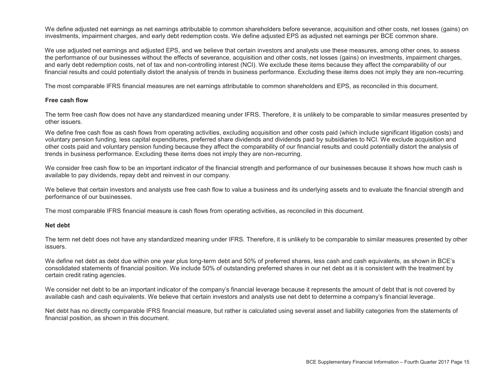We define adjusted net earnings as net earnings attributable to common shareholders before severance, acquisition and other costs, net losses (gains) on investments, impairment charges, and early debt redemption costs. We define adjusted EPS as adjusted net earnings per BCE common share.

We use adjusted net earnings and adjusted EPS, and we believe that certain investors and analysts use these measures, among other ones, to assess the performance of our businesses without the effects of severance, acquisition and other costs, net losses (gains) on investments, impairment charges, and early debt redemption costs, net of tax and non-controlling interest (NCI). We exclude these items because they affect the comparability of our financial results and could potentially distort the analysis of trends in business performance. Excluding these items does not imply they are non-recurring.

The most comparable IFRS financial measures are net earnings attributable to common shareholders and EPS, as reconciled in this document.

#### **Free cash flow**

The term free cash flow does not have any standardized meaning under IFRS. Therefore, it is unlikely to be comparable to similar measures presented by other issuers.

We define free cash flow as cash flows from operating activities, excluding acquisition and other costs paid (which include significant litigation costs) and voluntary pension funding, less capital expenditures, preferred share dividends and dividends paid by subsidiaries to NCI. We exclude acquisition and other costs paid and voluntary pension funding because they affect the comparability of our financial results and could potentially distort the analysis of trends in business performance. Excluding these items does not imply they are non-recurring.

We consider free cash flow to be an important indicator of the financial strength and performance of our businesses because it shows how much cash is available to pay dividends, repay debt and reinvest in our company.

We believe that certain investors and analysts use free cash flow to value a business and its underlying assets and to evaluate the financial strength and performance of our businesses.

The most comparable IFRS financial measure is cash flows from operating activities, as reconciled in this document.

#### **Net debt**

The term net debt does not have any standardized meaning under IFRS. Therefore, it is unlikely to be comparable to similar measures presented by other issuers.

We define net debt as debt due within one year plus long-term debt and 50% of preferred shares, less cash and cash equivalents, as shown in BCE's consolidated statements of financial position. We include 50% of outstanding preferred shares in our net debt as it is consistent with the treatment by certain credit rating agencies.

We consider net debt to be an important indicator of the company's financial leverage because it represents the amount of debt that is not covered by available cash and cash equivalents. We believe that certain investors and analysts use net debt to determine a company's financial leverage.

Net debt has no directly comparable IFRS financial measure, but rather is calculated using several asset and liability categories from the statements of financial position, as shown in this document.